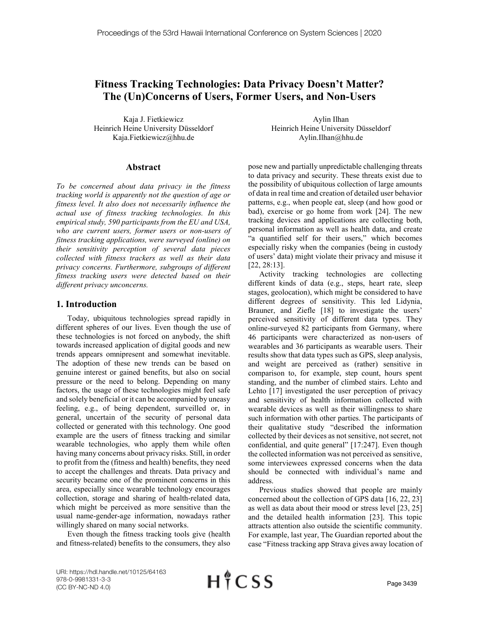# **Fitness Tracking Technologies: Data Privacy Doesn't Matter? The (Un)Concerns of Users, Former Users, and Non-Users**

Kaja J. Fietkiewicz Heinrich Heine University Düsseldorf Kaja.Fietkiewicz@hhu.de

#### **Abstract**

*To be concerned about data privacy in the fitness tracking world is apparently not the question of age or fitness level. It also does not necessarily influence the actual use of fitness tracking technologies. In this empirical study, 590 participants from the EU and USA, who are current users, former users or non-users of fitness tracking applications, were surveyed (online) on their sensitivity perception of several data pieces collected with fitness trackers as well as their data privacy concerns. Furthermore, subgroups of different fitness tracking users were detected based on their different privacy unconcerns.*

#### **1. Introduction**

Today, ubiquitous technologies spread rapidly in different spheres of our lives. Even though the use of these technologies is not forced on anybody, the shift towards increased application of digital goods and new trends appears omnipresent and somewhat inevitable. The adoption of these new trends can be based on genuine interest or gained benefits, but also on social pressure or the need to belong. Depending on many factors, the usage of these technologies might feel safe and solely beneficial or it can be accompanied by uneasy feeling, e.g., of being dependent, surveilled or, in general, uncertain of the security of personal data collected or generated with this technology. One good example are the users of fitness tracking and similar wearable technologies, who apply them while often having many concerns about privacy risks. Still, in order to profit from the (fitness and health) benefits, they need to accept the challenges and threats. Data privacy and security became one of the prominent concerns in this area, especially since wearable technology encourages collection, storage and sharing of health-related data, which might be perceived as more sensitive than the usual name-gender-age information, nowadays rather willingly shared on many social networks.

Even though the fitness tracking tools give (health and fitness-related) benefits to the consumers, they also

Aylin Ilhan Heinrich Heine University Düsseldorf Aylin.Ilhan@hhu.de

pose new and partially unpredictable challenging threats to data privacy and security. These threats exist due to the possibility of ubiquitous collection of large amounts of data in real time and creation of detailed user behavior patterns, e.g., when people eat, sleep (and how good or bad), exercise or go home from work [24]. The new tracking devices and applications are collecting both, personal information as well as health data, and create "a quantified self for their users," which becomes especially risky when the companies (being in custody of users' data) might violate their privacy and misuse it [22, 28:13].

Activity tracking technologies are collecting different kinds of data (e.g., steps, heart rate, sleep stages, geolocation), which might be considered to have different degrees of sensitivity. This led Lidynia, Brauner, and Ziefle [18] to investigate the users' perceived sensitivity of different data types. They online-surveyed 82 participants from Germany, where 46 participants were characterized as non-users of wearables and 36 participants as wearable users. Their results show that data types such as GPS, sleep analysis, and weight are perceived as (rather) sensitive in comparison to, for example, step count, hours spent standing, and the number of climbed stairs. Lehto and Lehto [17] investigated the user perception of privacy and sensitivity of health information collected with wearable devices as well as their willingness to share such information with other parties. The participants of their qualitative study "described the information collected by their devices as not sensitive, not secret, not confidential, and quite general" [17:247]. Even though the collected information was not perceived as sensitive, some interviewees expressed concerns when the data should be connected with individual's name and address.

Previous studies showed that people are mainly concerned about the collection of GPS data [16, 22, 23] as well as data about their mood or stress level [23, 25] and the detailed health information [23]. This topic attracts attention also outside the scientific community. For example, last year, The Guardian reported about the case "Fitness tracking app Strava gives away location of

URI: https://hdl.handle.net/10125/64163 978-0-9981331-3-3 (CC BY-NC-ND 4.0)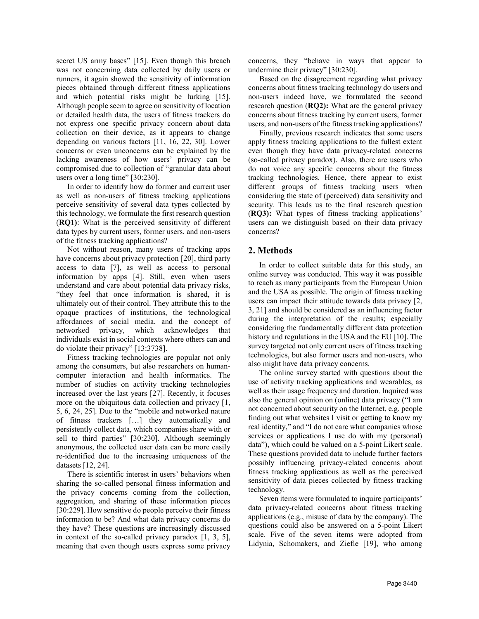secret US army bases" [15]. Even though this breach was not concerning data collected by daily users or runners, it again showed the sensitivity of information pieces obtained through different fitness applications and which potential risks might be lurking [15]. Although people seem to agree on sensitivity of location or detailed health data, the users of fitness trackers do not express one specific privacy concern about data collection on their device, as it appears to change depending on various factors [11, 16, 22, 30]. Lower concerns or even unconcerns can be explained by the lacking awareness of how users' privacy can be compromised due to collection of "granular data about users over a long time" [30:230].

In order to identify how do former and current user as well as non-users of fitness tracking applications perceive sensitivity of several data types collected by this technology, we formulate the first research question (**RQ1)**: What is the perceived sensitivity of different data types by current users, former users, and non-users of the fitness tracking applications?

Not without reason, many users of tracking apps have concerns about privacy protection [20], third party access to data [7], as well as access to personal information by apps [4]. Still, even when users understand and care about potential data privacy risks, "they feel that once information is shared, it is ultimately out of their control. They attribute this to the opaque practices of institutions, the technological affordances of social media, and the concept of networked privacy, which acknowledges that individuals exist in social contexts where others can and do violate their privacy" [13:3738].

Fitness tracking technologies are popular not only among the consumers, but also researchers on humancomputer interaction and health informatics. The number of studies on activity tracking technologies increased over the last years [27]. Recently, it focuses more on the ubiquitous data collection and privacy [1, 5, 6, 24, 25]. Due to the "mobile and networked nature of fitness trackers […] they automatically and persistently collect data, which companies share with or sell to third parties" [30:230]. Although seemingly anonymous, the collected user data can be more easily re-identified due to the increasing uniqueness of the datasets [12, 24].

There is scientific interest in users' behaviors when sharing the so-called personal fitness information and the privacy concerns coming from the collection, aggregation, and sharing of these information pieces [30:229]. How sensitive do people perceive their fitness information to be? And what data privacy concerns do they have? These questions are increasingly discussed in context of the so-called privacy paradox [1, 3, 5], meaning that even though users express some privacy concerns, they "behave in ways that appear to undermine their privacy" [30:230].

Based on the disagreement regarding what privacy concerns about fitness tracking technology do users and non-users indeed have, we formulated the second research question (**RQ2):** What are the general privacy concerns about fitness tracking by current users, former users, and non-users of the fitness tracking applications?

Finally, previous research indicates that some users apply fitness tracking applications to the fullest extent even though they have data privacy-related concerns (so-called privacy paradox). Also, there are users who do not voice any specific concerns about the fitness tracking technologies. Hence, there appear to exist different groups of fitness tracking users when considering the state of (perceived) data sensitivity and security. This leads us to the final research question (**RQ3):** What types of fitness tracking applications' users can we distinguish based on their data privacy concerns?

### **2. Methods**

In order to collect suitable data for this study, an online survey was conducted. This way it was possible to reach as many participants from the European Union and the USA as possible. The origin of fitness tracking users can impact their attitude towards data privacy [2, 3, 21] and should be considered as an influencing factor during the interpretation of the results; especially considering the fundamentally different data protection history and regulations in the USA and the EU [10]. The survey targeted not only current users of fitness tracking technologies, but also former users and non-users, who also might have data privacy concerns.

The online survey started with questions about the use of activity tracking applications and wearables, as well as their usage frequency and duration. Inquired was also the general opinion on (online) data privacy ("I am not concerned about security on the Internet, e.g. people finding out what websites I visit or getting to know my real identity," and "I do not care what companies whose services or applications I use do with my (personal) data"), which could be valued on a 5-point Likert scale. These questions provided data to include further factors possibly influencing privacy-related concerns about fitness tracking applications as well as the perceived sensitivity of data pieces collected by fitness tracking technology.

Seven items were formulated to inquire participants' data privacy-related concerns about fitness tracking applications (e.g., misuse of data by the company). The questions could also be answered on a 5-point Likert scale. Five of the seven items were adopted from Lidynia, Schomakers, and Ziefle [19], who among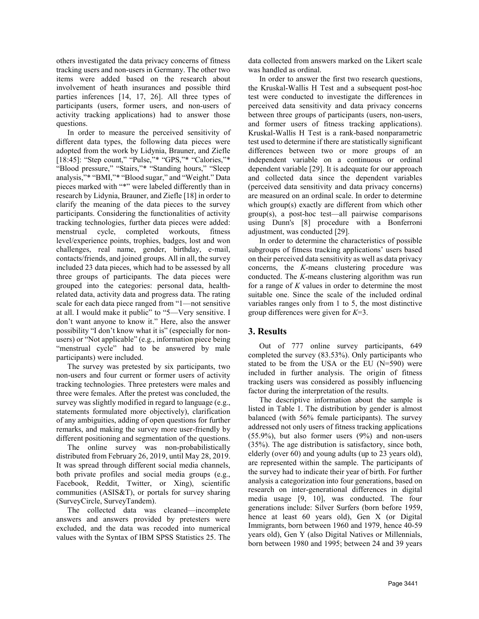others investigated the data privacy concerns of fitness tracking users and non-users in Germany. The other two items were added based on the research about involvement of heath insurances and possible third parties inferences [14, 17, 26]. All three types of participants (users, former users, and non-users of activity tracking applications) had to answer those questions.

In order to measure the perceived sensitivity of different data types, the following data pieces were adopted from the work by Lidynia, Brauner, and Ziefle [18:45]: "Step count," "Pulse,"\* "GPS,"\* "Calories,"\* "Blood pressure," "Stairs,"\* "Standing hours," "Sleep analysis,"\* "BMI,"\* "Blood sugar," and "Weight." Data pieces marked with "\*" were labeled differently than in research by Lidynia, Brauner, and Ziefle [18] in order to clarify the meaning of the data pieces to the survey participants. Considering the functionalities of activity tracking technologies, further data pieces were added: menstrual cycle, completed workouts, fitness level/experience points, trophies, badges, lost and won challenges, real name, gender, birthday, e-mail, contacts/friends, and joined groups. All in all, the survey included 23 data pieces, which had to be assessed by all three groups of participants. The data pieces were grouped into the categories: personal data, healthrelated data, activity data and progress data. The rating scale for each data piece ranged from "1—not sensitive at all. I would make it public" to "5—Very sensitive. I don't want anyone to know it." Here, also the answer possibility "I don't know what it is" (especially for nonusers) or "Not applicable" (e.g., information piece being "menstrual cycle" had to be answered by male participants) were included.

The survey was pretested by six participants, two non-users and four current or former users of activity tracking technologies. Three pretesters were males and three were females. After the pretest was concluded, the survey was slightly modified in regard to language (e.g., statements formulated more objectively), clarification of any ambiguities, adding of open questions for further remarks, and making the survey more user-friendly by different positioning and segmentation of the questions.

The online survey was non-probabilistically distributed from February 26, 2019, until May 28, 2019. It was spread through different social media channels, both private profiles and social media groups (e.g., Facebook, Reddit, Twitter, or Xing), scientific communities (ASIS&T), or portals for survey sharing (SurveyCircle, SurveyTandem).

The collected data was cleaned—incomplete answers and answers provided by pretesters were excluded, and the data was recoded into numerical values with the Syntax of IBM SPSS Statistics 25. The data collected from answers marked on the Likert scale was handled as ordinal.

In order to answer the first two research questions, the Kruskal-Wallis H Test and a subsequent post-hoc test were conducted to investigate the differences in perceived data sensitivity and data privacy concerns between three groups of participants (users, non-users, and former users of fitness tracking applications). Kruskal-Wallis H Test is a rank-based nonparametric test used to determine if there are statistically significant differences between two or more groups of an independent variable on a continuous or ordinal dependent variable [29]. It is adequate for our approach and collected data since the dependent variables (perceived data sensitivity and data privacy concerns) are measured on an ordinal scale. In order to determine which group(s) exactly are different from which other group(s), a post-hoc test—all pairwise comparisons using Dunn's [8] procedure with a Bonferroni adjustment, was conducted [29].

In order to determine the characteristics of possible subgroups of fitness tracking applications' users based on their perceived data sensitivity as well as data privacy concerns, the *K*-means clustering procedure was conducted. The *K*-means clustering algorithm was run for a range of *K* values in order to determine the most suitable one. Since the scale of the included ordinal variables ranges only from 1 to 5, the most distinctive group differences were given for *K*=3.

## **3. Results**

Out of 777 online survey participants, 649 completed the survey (83.53%). Only participants who stated to be from the USA or the EU (N=590) were included in further analysis. The origin of fitness tracking users was considered as possibly influencing factor during the interpretation of the results.

The descriptive information about the sample is listed in Table 1. The distribution by gender is almost balanced (with 56% female participants). The survey addressed not only users of fitness tracking applications (55.9%), but also former users (9%) and non-users (35%). The age distribution is satisfactory, since both, elderly (over 60) and young adults (up to 23 years old), are represented within the sample. The participants of the survey had to indicate their year of birth. For further analysis a categorization into four generations, based on research on inter-generational differences in digital media usage [9, 10], was conducted. The four generations include: Silver Surfers (born before 1959, hence at least 60 years old), Gen X (or Digital Immigrants, born between 1960 and 1979, hence 40-59 years old), Gen Y (also Digital Natives or Millennials, born between 1980 and 1995; between 24 and 39 years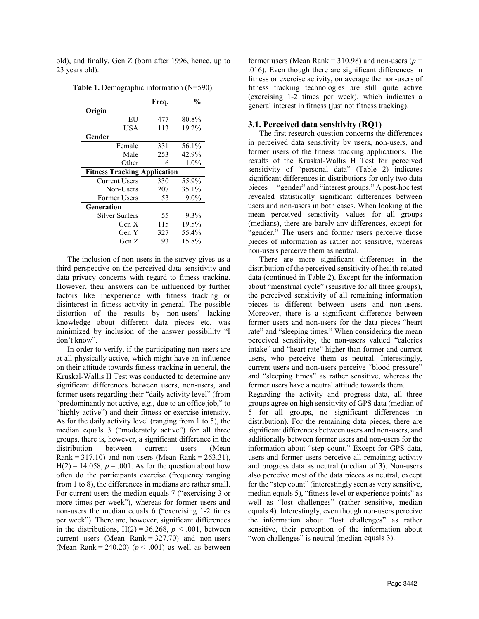old), and finally, Gen Z (born after 1996, hence, up to 23 years old).

|                                     | Frea. | $\frac{0}{0}$ |  |  |  |
|-------------------------------------|-------|---------------|--|--|--|
| Origin                              |       |               |  |  |  |
| EU                                  | 477   | 80.8%         |  |  |  |
| USA                                 | 113   | 19.2%         |  |  |  |
| Gender                              |       |               |  |  |  |
| Female                              | 331   | 56.1%         |  |  |  |
| Male                                | 253   | 42.9%         |  |  |  |
| Other                               | 6     | $1.0\%$       |  |  |  |
| <b>Fitness Tracking Application</b> |       |               |  |  |  |
| Current Users                       | 330   | 55.9%         |  |  |  |
| Non-Users                           | 207   | 35.1%         |  |  |  |
| Former Users                        | 53    | $9.0\%$       |  |  |  |
| Generation                          |       |               |  |  |  |
| Silver Surfers                      | 55    | 9.3%          |  |  |  |
| Gen X                               | 115   | 19.5%         |  |  |  |
| Gen Y                               | 327   | 55.4%         |  |  |  |
| Gen Z                               | 93    | 15.8%         |  |  |  |

**Table 1.** Demographic information (N=590).

The inclusion of non-users in the survey gives us a third perspective on the perceived data sensitivity and data privacy concerns with regard to fitness tracking. However, their answers can be influenced by further factors like inexperience with fitness tracking or disinterest in fitness activity in general. The possible distortion of the results by non-users' lacking knowledge about different data pieces etc. was minimized by inclusion of the answer possibility "I don't know".

In order to verify, if the participating non-users are at all physically active, which might have an influence on their attitude towards fitness tracking in general, the Kruskal-Wallis H Test was conducted to determine any significant differences between users, non-users, and former users regarding their "daily activity level" (from "predominantly not active, e.g., due to an office job," to "highly active") and their fitness or exercise intensity. As for the daily activity level (ranging from 1 to 5), the median equals 3 ("moderately active") for all three groups, there is, however, a significant difference in the distribution between current users (Mean Rank =  $317.10$ ) and non-users (Mean Rank =  $263.31$ ),  $H(2) = 14.058$ ,  $p = .001$ . As for the question about how often do the participants exercise (frequency ranging from 1 to 8), the differences in medians are rather small. For current users the median equals 7 ("exercising 3 or more times per week"), whereas for former users and non-users the median equals 6 ("exercising 1-2 times per week"). There are, however, significant differences in the distributions,  $H(2) = 36.268$ ,  $p < .001$ , between current users (Mean Rank  $= 327.70$ ) and non-users (Mean Rank = 240.20)  $(p < .001)$  as well as between

former users (Mean Rank =  $310.98$ ) and non-users ( $p =$ .016). Even though there are significant differences in fitness or exercise activity, on average the non-users of fitness tracking technologies are still quite active (exercising 1-2 times per week), which indicates a general interest in fitness (just not fitness tracking).

#### **3.1. Perceived data sensitivity (RQ1)**

The first research question concerns the differences in perceived data sensitivity by users, non-users, and former users of the fitness tracking applications. The results of the Kruskal-Wallis H Test for perceived sensitivity of "personal data" (Table 2) indicates significant differences in distributions for only two data pieces— "gender" and "interest groups." A post-hoc test revealed statistically significant differences between users and non-users in both cases. When looking at the mean perceived sensitivity values for all groups (medians), there are barely any differences, except for "gender." The users and former users perceive those pieces of information as rather not sensitive, whereas non-users perceive them as neutral.

There are more significant differences in the distribution of the perceived sensitivity of health-related data (continued in Table 2). Except for the information about "menstrual cycle" (sensitive for all three groups), the perceived sensitivity of all remaining information pieces is different between users and non-users. Moreover, there is a significant difference between former users and non-users for the data pieces "heart rate" and "sleeping times." When considering the mean perceived sensitivity, the non-users valued "calories intake" and "heart rate" higher than former and current users, who perceive them as neutral. Interestingly, current users and non-users perceive "blood pressure" and "sleeping times" as rather sensitive, whereas the former users have a neutral attitude towards them.

Regarding the activity and progress data, all three groups agree on high sensitivity of GPS data (median of 5 for all groups, no significant differences in distribution). For the remaining data pieces, there are significant differences between users and non-users, and additionally between former users and non-users for the information about "step count." Except for GPS data, users and former users perceive all remaining activity and progress data as neutral (median of 3). Non-users also perceive most of the data pieces as neutral, except for the "step count" (interestingly seen as very sensitive, median equals 5), "fitness level or experience points" as well as "lost challenges" (rather sensitive, median equals 4). Interestingly, even though non-users perceive the information about "lost challenges" as rather sensitive, their perception of the information about "won challenges" is neutral (median equals 3).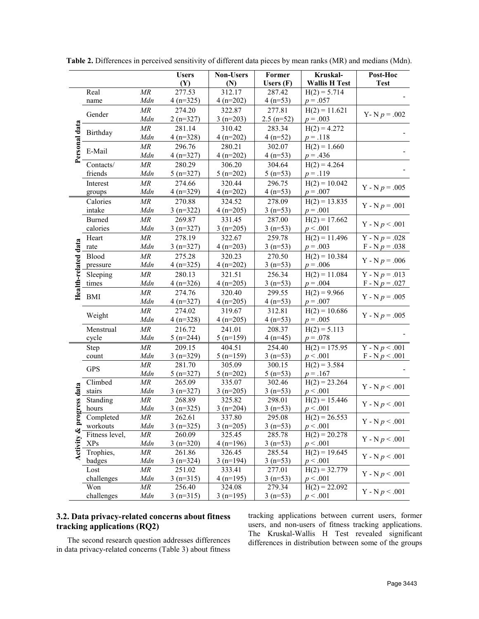|                       |                            |                            | <b>Users</b>         | Non-Users            | Former              | Kruskal-                    | Post-Hoc                      |
|-----------------------|----------------------------|----------------------------|----------------------|----------------------|---------------------|-----------------------------|-------------------------------|
|                       |                            |                            | (Y)                  | (N)                  | Users $(F)$         | <b>Wallis H Test</b>        | <b>Test</b>                   |
|                       | Real                       | MR                         | 277.53               | 312.17               | 287.42              | $H(2) = 5.714$              |                               |
| Personal data         | name                       | Mdn                        | $4(n=325)$           | $4(n=202)$           | $4(n=53)$           | $p = .057$                  |                               |
|                       |                            | MR                         | 274.20               | 322.87               | 277.81              | $H(2) = 11.621$             |                               |
|                       | Gender                     | Mdn                        | $2(n=327)$           | $3(n=203)$           | $2.5$ (n=52)        | $p = .003$                  | Y - N $p = .002$              |
|                       |                            | $\ensuremath{\mathit{MR}}$ | 281.14               | 310.42               | 283.34              | $H(2) = 4.272$              |                               |
|                       | Birthday                   | Mdn                        | $4(n=328)$           | $4(n=202)$           | $4(n=52)$           | $p = .118$                  |                               |
|                       |                            | MR                         | 296.76               | 280.21               | 302.07              | $H(2) = 1.660$              |                               |
|                       | E-Mail                     | Mdn                        | $4(n=327)$           | $4(n=202)$           | $4(n=53)$           | $p = .436$                  |                               |
|                       | Contacts/                  | MR                         | 280.29               | 306.20               | 304.64              | $H(2) = 4.264$              |                               |
|                       | friends                    | Mdn                        | $5(n=327)$           | $5(n=202)$           | $5(n=53)$           | $p = .119$                  |                               |
|                       | Interest                   | MR                         | 274.66               | 320.44               | 296.75              | $H(2) = 10.042$             |                               |
|                       | groups                     | Mdn                        | $4(n=329)$           | $4(n=202)$           | $4(n=53)$           | $p = .007$                  | Y - N $p = .005$              |
|                       | Calories                   | MR                         | 270.88               | 324.52               | 278.09              | $H(2) = 13.835$             |                               |
|                       | intake                     | Mdn                        | $3(n=322)$           | $4(n=205)$           | $3(n=53)$           | $p = .001$                  | $Y - N p = .001$              |
|                       | <b>Burned</b>              | $\ensuremath{\mathit{MR}}$ | 269.87               | 331.45               | 287.00              | $H(2) = 17.662$             |                               |
|                       | calories                   | Mdn                        | $3(n=327)$           | $3(n=205)$           | $3(n=53)$           | p < .001                    | Y - N $p < .001$              |
|                       | Heart                      | MR                         | 278.19               | 322.67               | 259.78              | $H(2) = 11.496$             | Y - N $p = .028$              |
|                       | rate                       | Mdn                        | $3(n=327)$           | $4(n=203)$           | $3(n=53)$           | $p = .003$                  | $F - N p = 0.038$             |
|                       | Blood                      | MR                         | 275.28               | 320.23               | 270.50              | $H(2) = 10.384$             |                               |
|                       | pressure                   | Mdn                        | $4(n=325)$           | $4(n=202)$           | $3(n=53)$           | $p = .006$                  | Y - N $p = .006$              |
|                       | Sleeping                   | MR                         | 280.13               | 321.51               | 256.34              | $H(2) = 11.084$             | $Y - N p = .013$              |
|                       | times                      | Mdn                        | $4(n=326)$           | $4(n=205)$           | $3(n=53)$           | $p = .004$                  | $F - N p = .027$              |
| Health-related data   |                            | $\ensuremath{\mathit{MR}}$ | 274.76               | 320.40               | 299.55              | $H(2) = 9.966$              |                               |
|                       | <b>BMI</b>                 | Mdn                        | $4(n=327)$           | $4(n=205)$           | $4(n=53)$           | $p = .007$                  | Y - N $p = .005$              |
|                       |                            | MR                         | 274.02               | 319.67               | 312.81              | $H(2) = 10.686$             |                               |
|                       | Weight                     | Mdn                        | $4(n=328)$           | $4(n=205)$           | $4(n=53)$           | $p = .005$                  | Y - N $p = .005$              |
|                       | Menstrual                  | MR                         | 216.72               | 241.01               | 208.37              | $H(2) = 5.113$              |                               |
|                       | cycle                      | Mdn                        | $5(n=244)$           | $5(n=159)$           | $4(n=45)$           | $p = .078$                  |                               |
|                       | Step                       | MR                         | 209.15               | 404.51               | 254.40              | $H(2) = 175.95$             | $\overline{Y}$ - $N p < .001$ |
|                       | count                      | Mdn                        | $3(n=329)$           | $5(n=159)$           | $3(n=53)$           | p < .001                    | $F - N p < .001$              |
|                       | <b>GPS</b>                 | MR                         | 281.70               | 305.09               | 300.15              | $H(2) = 3.584$              |                               |
|                       |                            | Mdn                        | $5(n=327)$           | $5(n=202)$           | $5(n=53)$           | $p = .167$                  |                               |
|                       | Climbed                    | MR                         | 265.09               | 335.07               | 302.46              | $H(2) = 23.264$             | Y - N $p < .001$              |
| ogress data           | stairs                     | Mdn                        | $3(n=327)$           | $3(n=205)$           | $3(n=53)$           | p < .001                    |                               |
|                       | Standing                   | $\ensuremath{\mathit{MR}}$ | 268.89               | 325.82               | 298.01              | $H(2) = 15.446$             | Y - N $p < .001$              |
|                       | hours                      | Mdn                        | $3(n=325)$           | $3(n=204)$           | $3(n=53)$           | p < .001                    |                               |
| 르                     | Completed                  | $\overline{MR}$            | 262.61               | 337.80               | 295.08              | $H(2) = 26.553$             | Y - N $p < .001$              |
|                       | workouts<br>Fitness level, | Mdn<br>MR                  | $3(n=325)$<br>260.09 | $3(n=205)$<br>325.45 | $3(n=53)$<br>285.78 | p < .001                    |                               |
| <b>Activity &amp;</b> | XPs                        | Mdn                        | $3(n=320)$           | $4(n=196)$           | $3(n=53)$           | $H(2) = 20.278$<br>p < .001 | Y - N $p < .001$              |
|                       | Trophies,                  | MR                         | 261.86               | 326.45               | 285.54              | $H(2) = 19.645$             |                               |
|                       | badges                     | Mdn                        | $3(n=324)$           | $3(n=194)$           | $3(n=53)$           | p < .001                    | Y - N $p < .001$              |
|                       | Lost                       | MR                         | 251.02               | 333.41               | 277.01              | $H(2) = 32.779$             |                               |
|                       | challenges                 | Mdn                        | $3(n=315)$           | $4(n=195)$           | $3(n=53)$           | p < .001                    | Y - N $p < .001$              |
|                       | Won                        | MR                         | 256.40               | 324.08               | 279.34              | $H(2) = 22.092$             |                               |
|                       | challenges                 | Mdn                        | $3(n=315)$           | $3(n=195)$           | $3(n=53)$           | p < .001                    | Y - N $p < .001$              |

**Table 2.** Differences in perceived sensitivity of different data pieces by mean ranks (MR) and medians (Mdn).

# **3.2. Data privacy-related concerns about fitness tracking applications (RQ2)**

The second research question addresses differences in data privacy-related concerns (Table 3) about fitness tracking applications between current users, former users, and non-users of fitness tracking applications. The Kruskal-Wallis H Test revealed significant differences in distribution between some of the groups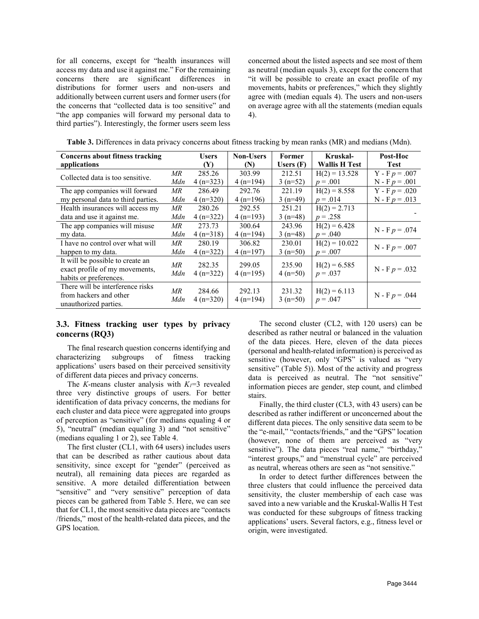for all concerns, except for "health insurances will access my data and use it against me." For the remaining concerns there are significant differences in distributions for former users and non-users and additionally between current users and former users (for the concerns that "collected data is too sensitive" and "the app companies will forward my personal data to third parties"). Interestingly, the former users seem less concerned about the listed aspects and see most of them as neutral (median equals 3), except for the concern that "it will be possible to create an exact profile of my movements, habits or preferences," which they slightly agree with (median equals 4). The users and non-users on average agree with all the statements (median equals 4).

| Concerns about fitness tracking    |     | <b>Users</b> | <b>Non-Users</b> | Former      | Kruskal-             | Post-Hoc         |
|------------------------------------|-----|--------------|------------------|-------------|----------------------|------------------|
| applications                       |     | (Y)          | (N)              | Users $(F)$ | <b>Wallis H Test</b> | <b>Test</b>      |
| Collected data is too sensitive.   | МR  | 285.26       | 303.99           | 212.51      | $H(2) = 13.528$      | $Y - F p = .007$ |
|                                    | Mdn | $4(n=323)$   | $4(n=194)$       | $3(n=52)$   | $p = .001$           | $N - F p = .001$ |
| The app companies will forward     | MR  | 286.49       | 292.76           | 221.19      | $H(2) = 8.558$       | $Y - F p = .020$ |
| my personal data to third parties. | Mdn | $4(n=320)$   | $4(n=196)$       | $3(n=49)$   | $p = .014$           | $N - F p = .013$ |
| Health insurances will access my   | MR  | 280.26       | 292.55           | 251.21      | $H(2) = 2.713$       |                  |
| data and use it against me.        | Mdn | $4(n=322)$   | $4(n=193)$       | $3(n=48)$   | $p = .258$           |                  |
| The app companies will misuse      | MR  | 273.73       | 300.64           | 243.96      | $H(2) = 6.428$       | $N - F p = .074$ |
| my data.                           | Mdn | $4(n=318)$   | $4(n=194)$       | $3(n=48)$   | $p = .040$           |                  |
| I have no control over what will   | МR  | 280.19       | 306.82           | 230.01      | $H(2) = 10.022$      | $N - F p = .007$ |
| happen to my data.                 | Mdn | $4(n=322)$   | $4(n=197)$       | $3(n=50)$   | $p = .007$           |                  |
| It will be possible to create an   | MR  | 282.35       | 299.05           | 235.90      |                      |                  |
| exact profile of my movements,     | Mdn |              |                  |             | $H(2) = 6.585$       | $N - F p = .032$ |
| habits or preferences.             |     | $4(n=322)$   | $4(n=195)$       | $4(n=50)$   | $p = .037$           |                  |
| There will be interference risks   | MR  | 284.66       | 292.13           | 231.32      | $H(2) = 6.113$       |                  |
| from hackers and other             | Mdn | $4(n=320)$   | $4(n=194)$       | $3(n=50)$   | $p = .047$           | $N - F p = .044$ |
| unauthorized parties.              |     |              |                  |             |                      |                  |

**Table 3.** Differences in data privacy concerns about fitness tracking by mean ranks (MR) and medians (Mdn).

#### **3.3. Fitness tracking user types by privacy concerns (RQ3)**

The final research question concerns identifying and characterizing subgroups of fitness tracking applications' users based on their perceived sensitivity of different data pieces and privacy concerns.

The *K*-means cluster analysis with  $K_1=3$  revealed three very distinctive groups of users. For better identification of data privacy concerns, the medians for each cluster and data piece were aggregated into groups of perception as "sensitive" (for medians equaling 4 or 5), "neutral" (median equaling 3) and "not sensitive" (medians equaling 1 or 2), see Table 4.

The first cluster (CL1, with 64 users) includes users that can be described as rather cautious about data sensitivity, since except for "gender" (perceived as neutral), all remaining data pieces are regarded as sensitive. A more detailed differentiation between "sensitive" and "very sensitive" perception of data pieces can be gathered from Table 5. Here, we can see that for CL1, the most sensitive data pieces are "contacts /friends," most of the health-related data pieces, and the GPS location.

The second cluster (CL2, with 120 users) can be described as rather neutral or balanced in the valuation of the data pieces. Here, eleven of the data pieces (personal and health-related information) is perceived as sensitive (however, only "GPS" is valued as "very sensitive" (Table 5)). Most of the activity and progress data is perceived as neutral. The "not sensitive" information pieces are gender, step count, and climbed stairs.

Finally, the third cluster (CL3, with 43 users) can be described as rather indifferent or unconcerned about the different data pieces. The only sensitive data seem to be the "e-mail," "contacts/friends," and the "GPS" location (however, none of them are perceived as "very sensitive"). The data pieces "real name," "birthday," "interest groups," and "menstrual cycle" are perceived as neutral, whereas others are seen as "not sensitive."

In order to detect further differences between the three clusters that could influence the perceived data sensitivity, the cluster membership of each case was saved into a new variable and the Kruskal-Wallis H Test was conducted for these subgroups of fitness tracking applications' users. Several factors, e.g., fitness level or origin, were investigated.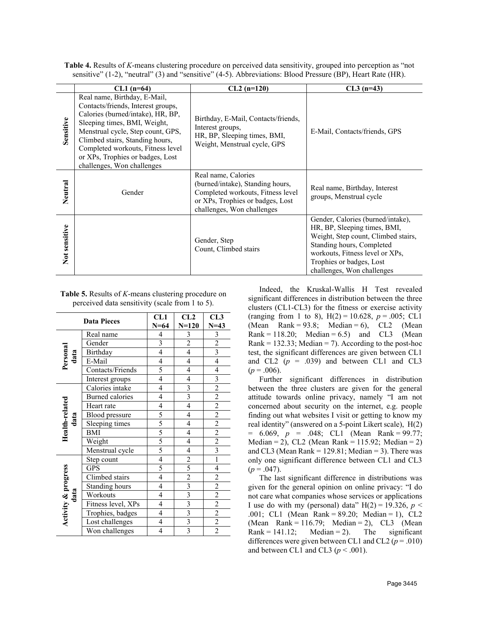|  | <b>Table 4.</b> Results of K-means clustering procedure on perceived data sensitivity, grouped into perception as "not |
|--|------------------------------------------------------------------------------------------------------------------------|
|  | sensitive" (1-2), "neutral" (3) and "sensitive" (4-5). Abbreviations: Blood Pressure (BP), Heart Rate (HR).            |

|               | $CL1$ (n=64)                                                                                                                                                                                                                                                                                                           | $CL2(n=120)$                                                                                                                                                   | $CL3(n=43)$                                                                                                                                                                                                                        |
|---------------|------------------------------------------------------------------------------------------------------------------------------------------------------------------------------------------------------------------------------------------------------------------------------------------------------------------------|----------------------------------------------------------------------------------------------------------------------------------------------------------------|------------------------------------------------------------------------------------------------------------------------------------------------------------------------------------------------------------------------------------|
| Sensitive     | Real name, Birthday, E-Mail,<br>Contacts/friends, Interest groups,<br>Calories (burned/intake), HR, BP,<br>Sleeping times, BMI, Weight,<br>Menstrual cycle, Step count, GPS,<br>Climbed stairs, Standing hours,<br>Completed workouts, Fitness level<br>or XPs, Trophies or badges, Lost<br>challenges, Won challenges | Birthday, E-Mail, Contacts/friends,<br>Interest groups,<br>HR, BP, Sleeping times, BMI,<br>Weight, Menstrual cycle, GPS                                        | E-Mail, Contacts/friends, GPS                                                                                                                                                                                                      |
| Neutral       | Gender                                                                                                                                                                                                                                                                                                                 | Real name, Calories<br>(burned/intake), Standing hours,<br>Completed workouts, Fitness level<br>or XPs, Trophies or badges, Lost<br>challenges, Won challenges | Real name, Birthday, Interest<br>groups, Menstrual cycle                                                                                                                                                                           |
| Not sensitive |                                                                                                                                                                                                                                                                                                                        | Gender, Step<br>Count, Climbed stairs                                                                                                                          | Gender, Calories (burned/intake),<br>HR, BP, Sleeping times, BMI,<br>Weight, Step count, Climbed stairs,<br>Standing hours, Completed<br>workouts, Fitness level or XPs,<br>Trophies or badges, Lost<br>challenges, Won challenges |

| <b>Table 5.</b> Results of <i>K</i> -means clustering procedure on |
|--------------------------------------------------------------------|
| perceived data sensitivity (scale from 1 to 5).                    |

|                     | <b>Data Pieces</b>     | CL1<br>$N = 64$             | CL2<br>$N = 120$            | CL3<br>$N = 43$                                                                     |
|---------------------|------------------------|-----------------------------|-----------------------------|-------------------------------------------------------------------------------------|
|                     | Real name              | $\overline{\mathbf{4}}$     | $\overline{\mathbf{3}}$     | $\mathfrak{Z}$                                                                      |
| Personal<br>data    | Gender                 | $\overline{3}$              | $\frac{2}{4}$               | $rac{2}{3}$                                                                         |
|                     | Birthday               | $\overline{4}$              |                             |                                                                                     |
|                     | E-Mail                 | $\overline{4}$              | $\overline{4}$              | $\overline{4}$                                                                      |
|                     | Contacts/Friends       | 5                           | $\overline{4}$              | $\overline{4}$                                                                      |
|                     | Interest groups        | $\overline{4}$              | $\overline{\mathcal{L}}$    |                                                                                     |
|                     | Calories intake        | $\overline{\mathcal{L}}$    | $\frac{3}{3}$               | $\frac{3}{2}$ $\frac{2}{2}$ $\frac{2}{2}$ $\frac{2}{2}$ $\frac{2}{3}$ $\frac{2}{1}$ |
|                     | <b>Burned</b> calories | 4                           |                             |                                                                                     |
|                     | Heart rate             | $\overline{\mathcal{A}}$    |                             |                                                                                     |
| data                | <b>Blood</b> pressure  |                             | $\overline{4}$              |                                                                                     |
| Health-related      | Sleeping times         | $\frac{5}{5}$ $\frac{5}{5}$ | $\overline{4}$              |                                                                                     |
|                     | <b>BMI</b>             |                             | $\overline{4}$              |                                                                                     |
|                     | Weight                 |                             | $\overline{4}$              |                                                                                     |
|                     | Menstrual cycle        | $\overline{5}$              | $\overline{4}$              |                                                                                     |
|                     | Step count             | $\overline{4}$              |                             |                                                                                     |
|                     | GPS                    | 5                           |                             | $\overline{4}$                                                                      |
|                     | Climbed stairs         | $\overline{4}$              | $\frac{2}{5}$ $\frac{2}{3}$ |                                                                                     |
|                     | Standing hours         | $\overline{4}$              |                             |                                                                                     |
| data                | Workouts               | $\overline{4}$              |                             |                                                                                     |
|                     | Fitness level, XPs     | $\overline{4}$              | $\frac{3}{3}$ $\frac{3}{3}$ | $\frac{2}{2}$ $\frac{2}{2}$ $\frac{2}{2}$ $\frac{2}{2}$                             |
|                     | Trophies, badges       | $\overline{\mathcal{L}}$    |                             |                                                                                     |
| Activity & progress | Lost challenges        | $\overline{4}$              |                             |                                                                                     |
|                     | Won challenges         | 4                           | $\overline{3}$              |                                                                                     |

Indeed, the Kruskal-Wallis H Test revealed significant differences in distribution between the three clusters (CL1-CL3) for the fitness or exercise activity (ranging from 1 to 8),  $H(2) = 10.628$ ,  $p = .005$ ; CL1 (Mean Rank =  $93.8$ ; Median = 6), CL2 (Mean Rank = 118.20; Median = 6.5) and CL3 (Mean Rank =  $132.33$ ; Median = 7). According to the post-hoc test, the significant differences are given between CL1 and CL2  $(p = .039)$  and between CL1 and CL3  $(p = .006)$ .

Further significant differences in distribution between the three clusters are given for the general attitude towards online privacy, namely "I am not concerned about security on the internet, e.g. people finding out what websites I visit or getting to know my real identity" (answered on a 5-point Likert scale), H(2)  $= 6.069, p = .048; CL1 (Mean Rank = 99.77;$ Median = 2), CL2 (Mean Rank =  $115.92$ ; Median = 2) and CL3 (Mean Rank =  $129.81$ ; Median = 3). There was only one significant difference between CL1 and CL3  $(p=.047)$ .

The last significant difference in distributions was given for the general opinion on online privacy: "I do not care what companies whose services or applications I use do with my (personal) data"  $H(2) = 19.326$ ,  $p <$ .001; CL1 (Mean Rank = 89.20; Median = 1), CL2 (Mean Rank = 116.79; Median = 2), CL3 (Mean Rank =  $141.12$ ; Median = 2). The significant differences were given between CL1 and CL2 ( $p = .010$ ) and between CL1 and CL3 ( $p < .001$ ).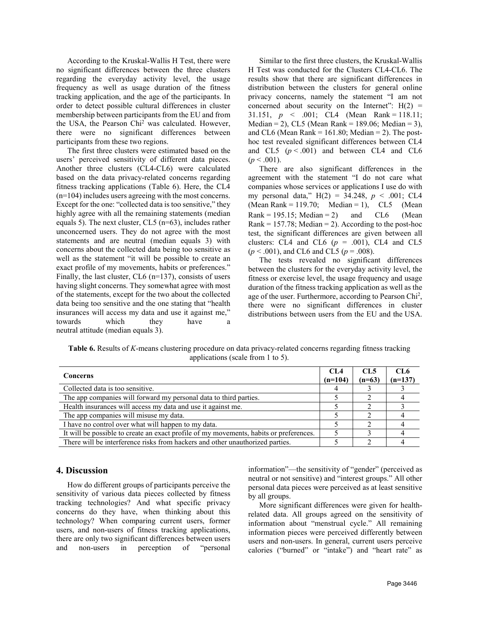According to the Kruskal-Wallis H Test, there were no significant differences between the three clusters regarding the everyday activity level, the usage frequency as well as usage duration of the fitness tracking application, and the age of the participants. In order to detect possible cultural differences in cluster membership between participants from the EU and from the USA, the Pearson Chi2 was calculated. However, there were no significant differences between participants from these two regions.

The first three clusters were estimated based on the users' perceived sensitivity of different data pieces. Another three clusters (CL4-CL6) were calculated based on the data privacy-related concerns regarding fitness tracking applications (Table 6). Here, the CL4 (n=104) includes users agreeing with the most concerns. Except for the one: "collected data is too sensitive," they highly agree with all the remaining statements (median equals 5). The next cluster, CL5 (n=63), includes rather unconcerned users. They do not agree with the most statements and are neutral (median equals 3) with concerns about the collected data being too sensitive as well as the statement "it will be possible to create an exact profile of my movements, habits or preferences." Finally, the last cluster, CL6 (n=137), consists of users having slight concerns. They somewhat agree with most of the statements, except for the two about the collected data being too sensitive and the one stating that "health insurances will access my data and use it against me," towards which they have a neutral attitude (median equals 3).

Similar to the first three clusters, the Kruskal-Wallis H Test was conducted for the Clusters CL4-CL6. The results show that there are significant differences in distribution between the clusters for general online privacy concerns, namely the statement "I am not concerned about security on the Internet":  $H(2) =$ 31.151,  $p \le 0.001$ ; CL4 (Mean Rank = 118.11; Median = 2), CL5 (Mean Rank = 189.06; Median = 3), and CL6 (Mean Rank =  $161.80$ ; Median = 2). The posthoc test revealed significant differences between CL4 and CL5  $(p < .001)$  and between CL4 and CL6  $(p < .001)$ .

There are also significant differences in the agreement with the statement "I do not care what companies whose services or applications I use do with my personal data," H(2) = 34.248, *p* < .001; CL4 (Mean Rank = 119.70; Median = 1),  $CL5$  (Mean Rank = 195.15; Median = 2) and  $CL6$  (Mean Rank =  $157.78$ ; Median = 2). According to the post-hoc test, the significant differences are given between all clusters: CL4 and CL6  $(p = .001)$ , CL4 and CL5  $(p < .001)$ , and CL6 and CL5 ( $p = .008$ ).

The tests revealed no significant differences between the clusters for the everyday activity level, the fitness or exercise level, the usage frequency and usage duration of the fitness tracking application as well as the age of the user. Furthermore, according to Pearson Chi<sup>2</sup>, there were no significant differences in cluster distributions between users from the EU and the USA.

**Table 6.** Results of *K*-means clustering procedure on data privacy-related concerns regarding fitness tracking applications (scale from 1 to 5).

| <b>Concerns</b>                                                                        | CL4<br>$(n=104)$ | CL5<br>$(n=63)$ | CL6<br>$(n=137)$ |
|----------------------------------------------------------------------------------------|------------------|-----------------|------------------|
| Collected data is too sensitive.                                                       |                  |                 |                  |
| The app companies will forward my personal data to third parties.                      |                  |                 |                  |
| Health insurances will access my data and use it against me.                           |                  |                 |                  |
| The app companies will misuse my data.                                                 |                  |                 |                  |
| I have no control over what will happen to my data.                                    |                  |                 |                  |
| It will be possible to create an exact profile of my movements, habits or preferences. |                  |                 |                  |
| There will be interference risks from hackers and other unauthorized parties.          |                  |                 |                  |

#### **4. Discussion**

How do different groups of participants perceive the sensitivity of various data pieces collected by fitness tracking technologies? And what specific privacy concerns do they have, when thinking about this technology? When comparing current users, former users, and non-users of fitness tracking applications, there are only two significant differences between users and non-users in perception of "personal

information"—the sensitivity of "gender" (perceived as neutral or not sensitive) and "interest groups." All other personal data pieces were perceived as at least sensitive by all groups.

More significant differences were given for healthrelated data. All groups agreed on the sensitivity of information about "menstrual cycle." All remaining information pieces were perceived differently between users and non-users. In general, current users perceive calories ("burned" or "intake") and "heart rate" as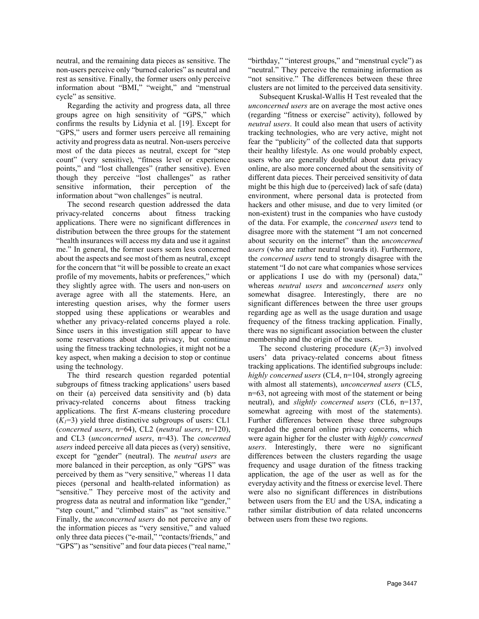neutral, and the remaining data pieces as sensitive. The non-users perceive only "burned calories" as neutral and rest as sensitive. Finally, the former users only perceive information about "BMI," "weight," and "menstrual cycle" as sensitive.

Regarding the activity and progress data, all three groups agree on high sensitivity of "GPS," which confirms the results by Lidynia et al. [19]. Except for "GPS," users and former users perceive all remaining activity and progress data as neutral. Non-users perceive most of the data pieces as neutral, except for "step count" (very sensitive), "fitness level or experience points," and "lost challenges" (rather sensitive). Even though they perceive "lost challenges" as rather sensitive information, their perception of the information about "won challenges" is neutral.

The second research question addressed the data privacy-related concerns about fitness tracking applications. There were no significant differences in distribution between the three groups for the statement "health insurances will access my data and use it against me." In general, the former users seem less concerned about the aspects and see most of them as neutral, except for the concern that "it will be possible to create an exact profile of my movements, habits or preferences," which they slightly agree with. The users and non-users on average agree with all the statements. Here, an interesting question arises, why the former users stopped using these applications or wearables and whether any privacy-related concerns played a role. Since users in this investigation still appear to have some reservations about data privacy, but continue using the fitness tracking technologies, it might not be a key aspect, when making a decision to stop or continue using the technology.

The third research question regarded potential subgroups of fitness tracking applications' users based on their (a) perceived data sensitivity and (b) data privacy-related concerns about fitness tracking applications. The first *K*-means clustering procedure  $(K<sub>I</sub>=3)$  yield three distinctive subgroups of users: CL1 (*concerned users*, n=64), CL2 (*neutral users*, n=120), and CL3 (*unconcerned users*, n=43). The *concerned users* indeed perceive all data pieces as (very) sensitive, except for "gender" (neutral). The *neutral users* are more balanced in their perception, as only "GPS" was perceived by them as "very sensitive," whereas 11 data pieces (personal and health-related information) as "sensitive." They perceive most of the activity and progress data as neutral and information like "gender," "step count," and "climbed stairs" as "not sensitive." Finally, the *unconcerned users* do not perceive any of the information pieces as "very sensitive," and valued only three data pieces ("e-mail," "contacts/friends," and "GPS") as "sensitive" and four data pieces ("real name,"

"birthday," "interest groups," and "menstrual cycle") as "neutral." They perceive the remaining information as "not sensitive." The differences between these three clusters are not limited to the perceived data sensitivity.

Subsequent Kruskal-Wallis H Test revealed that the *unconcerned users* are on average the most active ones (regarding "fitness or exercise" activity), followed by *neutral users*. It could also mean that users of activity tracking technologies, who are very active, might not fear the "publicity" of the collected data that supports their healthy lifestyle. As one would probably expect, users who are generally doubtful about data privacy online, are also more concerned about the sensitivity of different data pieces. Their perceived sensitivity of data might be this high due to (perceived) lack of safe (data) environment, where personal data is protected from hackers and other misuse, and due to very limited (or non-existent) trust in the companies who have custody of the data. For example, the *concerned users* tend to disagree more with the statement "I am not concerned about security on the internet" than the *unconcerned users* (who are rather neutral towards it). Furthermore, the *concerned users* tend to strongly disagree with the statement "I do not care what companies whose services or applications I use do with my (personal) data," whereas *neutral users* and *unconcerned users* only somewhat disagree. Interestingly, there are no significant differences between the three user groups regarding age as well as the usage duration and usage frequency of the fitness tracking application. Finally, there was no significant association between the cluster membership and the origin of the users.

The second clustering procedure  $(K_2=3)$  involved users' data privacy-related concerns about fitness tracking applications. The identified subgroups include: *highly concerned users* (CL4, n=104, strongly agreeing with almost all statements), *unconcerned users* (CL5, n=63, not agreeing with most of the statement or being neutral), and *slightly concerned users* (CL6, n=137, somewhat agreeing with most of the statements). Further differences between these three subgroups regarded the general online privacy concerns, which were again higher for the cluster with *highly concerned users*. Interestingly, there were no significant differences between the clusters regarding the usage frequency and usage duration of the fitness tracking application, the age of the user as well as for the everyday activity and the fitness or exercise level. There were also no significant differences in distributions between users from the EU and the USA, indicating a rather similar distribution of data related unconcerns between users from these two regions.